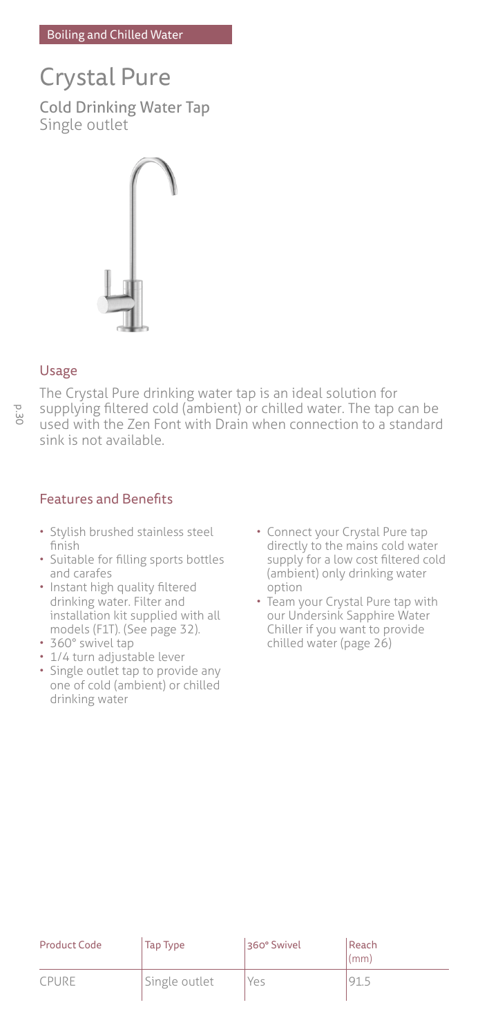# Crystal Pure Cold Drinking Water Tap Single outlet



# Usage

j.

The Crystal Pure drinking water tap is an ideal solution for supplying filtered cold (ambient) or chilled water. The tap can be used with the Zen Font with Drain when connection to a standard sink is not available.

# Features and Benefits

- Stylish brushed stainless steel finish
- Suitable for filling sports bottles and carafes
- Instant high quality filtered drinking water. Filter and installation kit supplied with all models (F1T). (See page 32).
- 360° swivel tap
- 1/4 turn adjustable lever • Single outlet tap to provide any one of cold (ambient) or chilled drinking water
- Connect your Crystal Pure tap directly to the mains cold water supply for a low cost filtered cold (ambient) only drinking water option
- Team your Crystal Pure tap with our Undersink Sapphire Water Chiller if you want to provide chilled water (page 26)

| Product Code | Tap Type      | 360° Swivel | Reach<br>(mm) |
|--------------|---------------|-------------|---------------|
| CPURE        | Single outlet | Yes         |               |